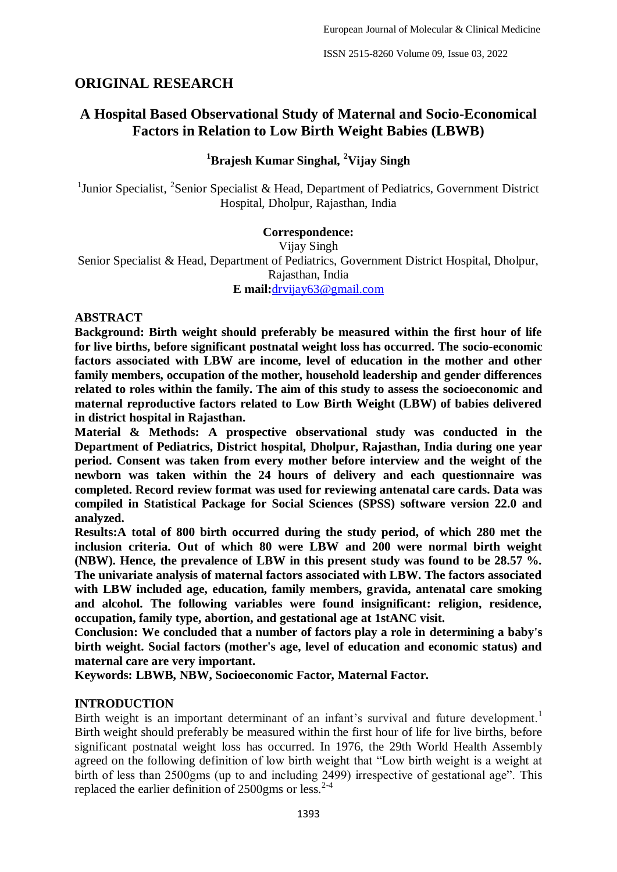# **ORIGINAL RESEARCH**

# **A Hospital Based Observational Study of Maternal and Socio-Economical Factors in Relation to Low Birth Weight Babies (LBWB)**

## **<sup>1</sup>Brajesh Kumar Singhal, <sup>2</sup>Vijay Singh**

<sup>1</sup>Junior Specialist, <sup>2</sup>Senior Specialist & Head, Department of Pediatrics, Government District Hospital, Dholpur, Rajasthan, India

## **Correspondence:**

Vijay Singh Senior Specialist & Head, Department of Pediatrics, Government District Hospital, Dholpur, Rajasthan, India **E mail:**[drvijay63@gmail.com](mailto:drvijay63@gmail.com)

#### **ABSTRACT**

**Background: Birth weight should preferably be measured within the first hour of life for live births, before significant postnatal weight loss has occurred. The socio-economic factors associated with LBW are income, level of education in the mother and other family members, occupation of the mother, household leadership and gender differences related to roles within the family. The aim of this study to assess the socioeconomic and maternal reproductive factors related to Low Birth Weight (LBW) of babies delivered in district hospital in Rajasthan.**

**Material & Methods: A prospective observational study was conducted in the Department of Pediatrics, District hospital, Dholpur, Rajasthan, India during one year period. Consent was taken from every mother before interview and the weight of the newborn was taken within the 24 hours of delivery and each questionnaire was completed. Record review format was used for reviewing antenatal care cards. Data was compiled in Statistical Package for Social Sciences (SPSS) software version 22.0 and analyzed.**

**Results:A total of 800 birth occurred during the study period, of which 280 met the inclusion criteria. Out of which 80 were LBW and 200 were normal birth weight (NBW). Hence, the prevalence of LBW in this present study was found to be 28.57 %. The univariate analysis of maternal factors associated with LBW. The factors associated with LBW included age, education, family members, gravida, antenatal care smoking and alcohol. The following variables were found insignificant: religion, residence, occupation, family type, abortion, and gestational age at 1stANC visit.**

**Conclusion: We concluded that a number of factors play a role in determining a baby's birth weight. Social factors (mother's age, level of education and economic status) and maternal care are very important.**

**Keywords: LBWB, NBW, Socioeconomic Factor, Maternal Factor.**

## **INTRODUCTION**

Birth weight is an important determinant of an infant's survival and future development.<sup>1</sup> Birth weight should preferably be measured within the first hour of life for live births, before significant postnatal weight loss has occurred. In 1976, the 29th World Health Assembly agreed on the following definition of low birth weight that "Low birth weight is a weight at birth of less than 2500gms (up to and including 2499) irrespective of gestational age". This replaced the earlier definition of 2500gms or less.<sup>2-4</sup>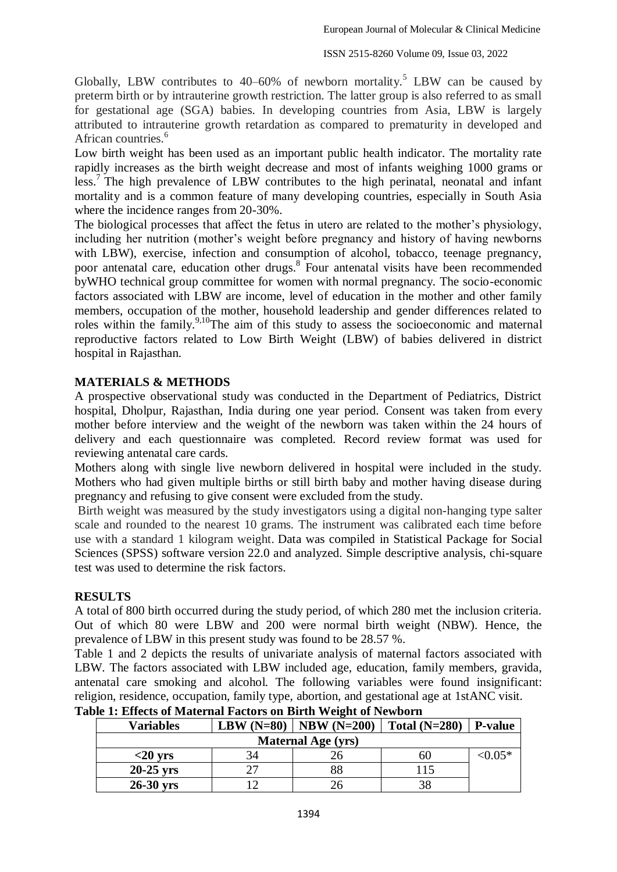Globally, LBW contributes to  $40-60\%$  of newborn mortality.<sup>5</sup> LBW can be caused by preterm birth or by intrauterine growth restriction. The latter group is also referred to as small for gestational age (SGA) babies. In developing countries from Asia, LBW is largely attributed to intrauterine growth retardation as compared to prematurity in developed and African countries.<sup>6</sup>

Low birth weight has been used as an important public health indicator. The mortality rate rapidly increases as the birth weight decrease and most of infants weighing 1000 grams or less.<sup>7</sup> The high prevalence of LBW contributes to the high perinatal, neonatal and infant mortality and is a common feature of many developing countries, especially in South Asia where the incidence ranges from 20-30%.

The biological processes that affect the fetus in utero are related to the mother's physiology, including her nutrition (mother's weight before pregnancy and history of having newborns with LBW), exercise, infection and consumption of alcohol, tobacco, teenage pregnancy, poor antenatal care, education other drugs.<sup>8</sup> Four antenatal visits have been recommended byWHO technical group committee for women with normal pregnancy. The socio-economic factors associated with LBW are income, level of education in the mother and other family members, occupation of the mother, household leadership and gender differences related to roles within the family.<sup>9,10</sup>The aim of this study to assess the socioeconomic and maternal reproductive factors related to Low Birth Weight (LBW) of babies delivered in district hospital in Rajasthan.

## **MATERIALS & METHODS**

A prospective observational study was conducted in the Department of Pediatrics, District hospital, Dholpur, Rajasthan, India during one year period. Consent was taken from every mother before interview and the weight of the newborn was taken within the 24 hours of delivery and each questionnaire was completed. Record review format was used for reviewing antenatal care cards.

Mothers along with single live newborn delivered in hospital were included in the study. Mothers who had given multiple births or still birth baby and mother having disease during pregnancy and refusing to give consent were excluded from the study.

Birth weight was measured by the study investigators using a digital non-hanging type salter scale and rounded to the nearest 10 grams. The instrument was calibrated each time before use with a standard 1 kilogram weight. Data was compiled in Statistical Package for Social Sciences (SPSS) software version 22.0 and analyzed. Simple descriptive analysis, chi-square test was used to determine the risk factors.

## **RESULTS**

A total of 800 birth occurred during the study period, of which 280 met the inclusion criteria. Out of which 80 were LBW and 200 were normal birth weight (NBW). Hence, the prevalence of LBW in this present study was found to be 28.57 %.

Table 1 and 2 depicts the results of univariate analysis of maternal factors associated with LBW. The factors associated with LBW included age, education, family members, gravida, antenatal care smoking and alcohol. The following variables were found insignificant: religion, residence, occupation, family type, abortion, and gestational age at 1stANC visit.

| <b>Variables</b>          | LBW $(N=80)$ | $\vert$ NBW (N=200) | Total $(N=280)$ | <b>P-value</b> |  |  |  |
|---------------------------|--------------|---------------------|-----------------|----------------|--|--|--|
| <b>Maternal Age (yrs)</b> |              |                     |                 |                |  |  |  |
| $<$ 20 yrs                | 34           |                     | 60              | ${<}0.05*$     |  |  |  |
| $20-25$ yrs               | つつ           | 88                  | 15              |                |  |  |  |
| $26-30$ yrs               |              |                     |                 |                |  |  |  |

# **Table 1: Effects of Maternal Factors on Birth Weight of Newborn**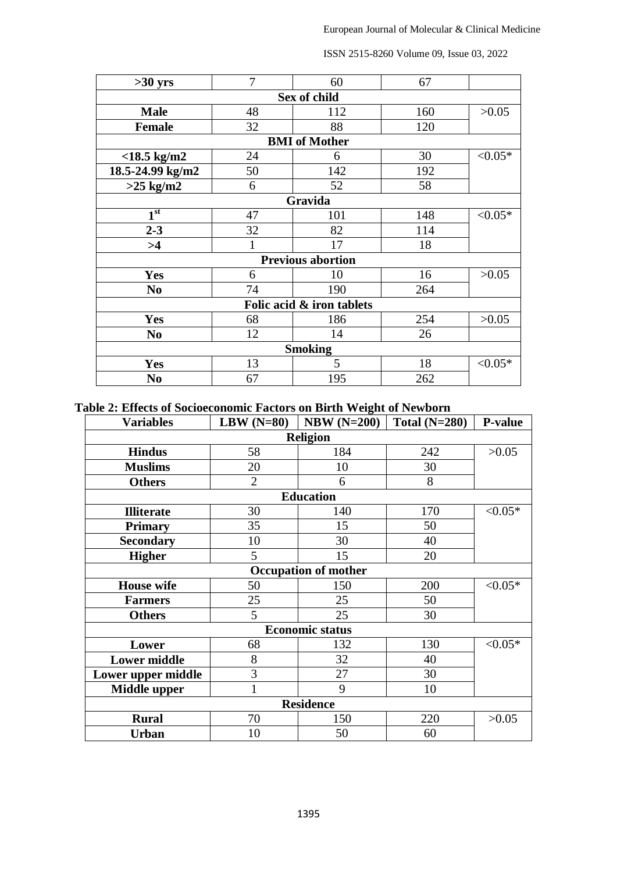| $>30$ yrs                                                                                                                                                                                                                                        | 7  | 60  | 67  |            |  |  |  |  |
|--------------------------------------------------------------------------------------------------------------------------------------------------------------------------------------------------------------------------------------------------|----|-----|-----|------------|--|--|--|--|
| Sex of child                                                                                                                                                                                                                                     |    |     |     |            |  |  |  |  |
| <b>Male</b>                                                                                                                                                                                                                                      | 48 | 112 | 160 | >0.05      |  |  |  |  |
| <b>Female</b>                                                                                                                                                                                                                                    | 32 | 88  | 120 |            |  |  |  |  |
| <b>BMI</b> of Mother                                                                                                                                                                                                                             |    |     |     |            |  |  |  |  |
| $<$ 18.5 kg/m2                                                                                                                                                                                                                                   | 24 | 6   | 30  | $< 0.05*$  |  |  |  |  |
| 18.5-24.99 kg/m2                                                                                                                                                                                                                                 | 50 | 142 | 192 |            |  |  |  |  |
| $>25$ kg/m2                                                                                                                                                                                                                                      | 6  | 52  | 58  |            |  |  |  |  |
| Gravida                                                                                                                                                                                                                                          |    |     |     |            |  |  |  |  |
|                                                                                                                                                                                                                                                  | 47 | 101 | 148 | ${<}0.05*$ |  |  |  |  |
| $2 - 3$                                                                                                                                                                                                                                          | 32 | 82  | 114 |            |  |  |  |  |
| >4                                                                                                                                                                                                                                               |    | 17  | 18  |            |  |  |  |  |
| 1 <sup>st</sup><br><b>Previous abortion</b><br>Yes<br>16<br>>0.05<br>10<br>6<br>190<br>264<br>74<br>N <sub>0</sub><br>Folic acid & iron tablets<br>254<br>>0.05<br><b>Yes</b><br>68<br>186<br>12<br>14<br>26<br>N <sub>0</sub><br><b>Smoking</b> |    |     |     |            |  |  |  |  |
|                                                                                                                                                                                                                                                  |    |     |     |            |  |  |  |  |
|                                                                                                                                                                                                                                                  |    |     |     |            |  |  |  |  |
|                                                                                                                                                                                                                                                  |    |     |     |            |  |  |  |  |
|                                                                                                                                                                                                                                                  |    |     |     |            |  |  |  |  |
|                                                                                                                                                                                                                                                  |    |     |     |            |  |  |  |  |
|                                                                                                                                                                                                                                                  |    |     |     |            |  |  |  |  |
| Yes                                                                                                                                                                                                                                              | 13 | 5   | 18  | $< 0.05*$  |  |  |  |  |
| N <sub>0</sub>                                                                                                                                                                                                                                   | 67 | 195 | 262 |            |  |  |  |  |

ISSN 2515-8260 Volume 09, Issue 03, 2022

**Table 2: Effects of Socioeconomic Factors on Birth Weight of Newborn**

| <b>Variables</b>            | LBW $(N=80)$   | $NBW(N=200)$ | Total $(N=280)$ | <b>P-value</b> |  |  |  |  |
|-----------------------------|----------------|--------------|-----------------|----------------|--|--|--|--|
| <b>Religion</b>             |                |              |                 |                |  |  |  |  |
| <b>Hindus</b>               | 58             | 184          | 242             | >0.05          |  |  |  |  |
| <b>Muslims</b>              | 20             | 10           | 30              |                |  |  |  |  |
| <b>Others</b>               | $\overline{2}$ | 6            | 8               |                |  |  |  |  |
| <b>Education</b>            |                |              |                 |                |  |  |  |  |
| <b>Illiterate</b>           | 30             | 140          | 170             | ${<}0.05*$     |  |  |  |  |
| <b>Primary</b>              | 35             | 15           | 50              |                |  |  |  |  |
| <b>Secondary</b>            | 10             | 30           | 40              |                |  |  |  |  |
| <b>Higher</b>               | 5              | 15           | 20              |                |  |  |  |  |
| <b>Occupation of mother</b> |                |              |                 |                |  |  |  |  |
| <b>House</b> wife           | 50             | 150          | 200             | $< 0.05*$      |  |  |  |  |
| <b>Farmers</b>              | 25             | 25           | 50              |                |  |  |  |  |
| <b>Others</b>               | 5              | 25           | 30              |                |  |  |  |  |
| <b>Economic status</b>      |                |              |                 |                |  |  |  |  |
| Lower                       | 68             | 132          | 130             | ${<}0.05*$     |  |  |  |  |
| <b>Lower middle</b>         | 8              | 32           | 40              |                |  |  |  |  |
| Lower upper middle          | 3              | 27           | 30              |                |  |  |  |  |
| <b>Middle upper</b>         | $\mathbf{1}$   | 9            | 10              |                |  |  |  |  |
| <b>Residence</b>            |                |              |                 |                |  |  |  |  |
| <b>Rural</b>                | 70             | 150          | 220             | >0.05          |  |  |  |  |
| <b>Urban</b>                | 10             | 50           | 60              |                |  |  |  |  |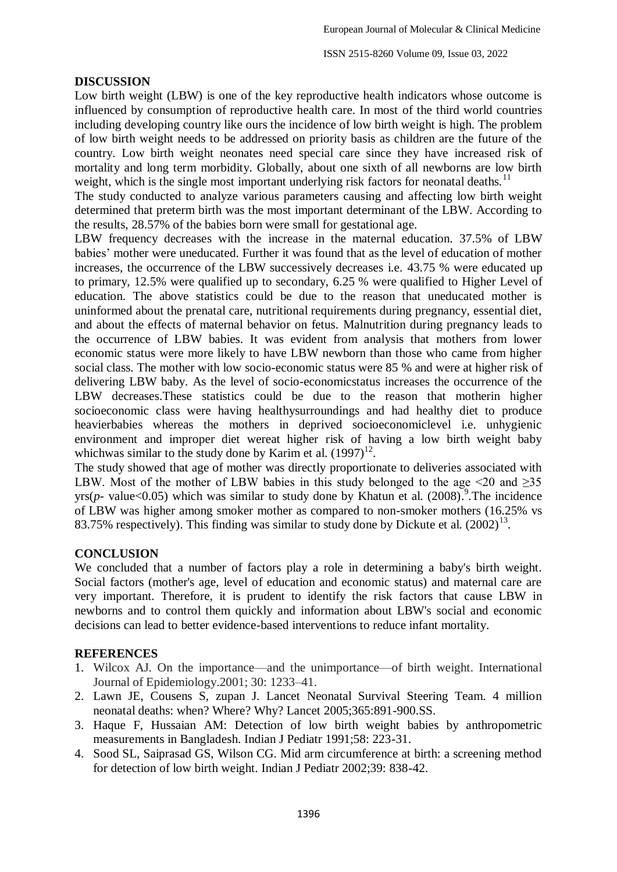## **DISCUSSION**

Low birth weight (LBW) is one of the key reproductive health indicators whose outcome is influenced by consumption of reproductive health care. In most of the third world countries including developing country like ours the incidence of low birth weight is high. The problem of low birth weight needs to be addressed on priority basis as children are the future of the country. Low birth weight neonates need special care since they have increased risk of mortality and long term morbidity. Globally, about one sixth of all newborns are low birth weight, which is the single most important underlying risk factors for neonatal deaths.<sup>11</sup>

The study conducted to analyze various parameters causing and affecting low birth weight determined that preterm birth was the most important determinant of the LBW. According to the results, 28.57% of the babies born were small for gestational age.

LBW frequency decreases with the increase in the maternal education. 37.5% of LBW babies' mother were uneducated. Further it was found that as the level of education of mother increases, the occurrence of the LBW successively decreases i.e. 43.75 % were educated up to primary, 12.5% were qualified up to secondary, 6.25 % were qualified to Higher Level of education. The above statistics could be due to the reason that uneducated mother is uninformed about the prenatal care, nutritional requirements during pregnancy, essential diet, and about the effects of maternal behavior on fetus. Malnutrition during pregnancy leads to the occurrence of LBW babies. It was evident from analysis that mothers from lower economic status were more likely to have LBW newborn than those who came from higher social class. The mother with low socio-economic status were 85 % and were at higher risk of delivering LBW baby. As the level of socio-economicstatus increases the occurrence of the LBW decreases.These statistics could be due to the reason that motherin higher socioeconomic class were having healthysurroundings and had healthy diet to produce heavierbabies whereas the mothers in deprived socioeconomiclevel i.e. unhygienic environment and improper diet wereat higher risk of having a low birth weight baby whichwas similar to the study done by Karim et al.  $(1997)^{12}$ .

The study showed that age of mother was directly proportionate to deliveries associated with LBW. Most of the mother of LBW babies in this study belonged to the age  $\leq 20$  and  $\geq 35$ yrs( $p$ - value<0.05) which was similar to study done by Khatun et al. (2008). The incidence of LBW was higher among smoker mother as compared to non-smoker mothers (16.25% vs 83.75% respectively). This finding was similar to study done by Dickute et al.  $(2002)^{13}$ .

## **CONCLUSION**

We concluded that a number of factors play a role in determining a baby's birth weight. Social factors (mother's age, level of education and economic status) and maternal care are very important. Therefore, it is prudent to identify the risk factors that cause LBW in newborns and to control them quickly and information about LBW's social and economic decisions can lead to better evidence-based interventions to reduce infant mortality.

## **REFERENCES**

- 1. Wilcox AJ. On the importance—and the unimportance—of birth weight. International Journal of Epidemiology.2001; 30: 1233–41.
- 2. Lawn JE, Cousens S, zupan J. Lancet Neonatal Survival Steering Team. 4 million neonatal deaths: when? Where? Why? Lancet 2005;365:891-900.SS.
- 3. Haque F, Hussaian AM: Detection of low birth weight babies by anthropometric measurements in Bangladesh. Indian J Pediatr 1991;58: 223-31.
- 4. Sood SL, Saiprasad GS, Wilson CG. Mid arm circumference at birth: a screening method for detection of low birth weight. Indian J Pediatr 2002;39: 838-42.